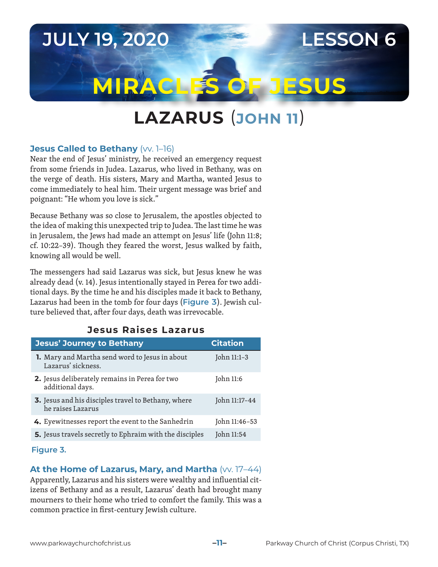# **JULY 19, 2020 LESSON 6 MIRACLES OF JESUS**

## **LAZARUS** (**JOHN 11**)

### **Jesus Called to Bethany** (VV. 1-16)

Near the end of Jesus' ministry, he received an emergency request from some friends in Judea. Lazarus, who lived in Bethany, was on the verge of death. His sisters, Mary and Martha, wanted Jesus to come immediately to heal him. Their urgent message was brief and poignant: "He whom you love is sick."

Because Bethany was so close to Jerusalem, the apostles objected to the idea of making this unexpected trip to Judea. The last time he was in Jerusalem, the Jews had made an attempt on Jesus' life (John 11:8; cf. 10:22–39). Though they feared the worst, Jesus walked by faith, knowing all would be well.

The messengers had said Lazarus was sick, but Jesus knew he was already dead (v. 14). Jesus intentionally stayed in Perea for two additional days. By the time he and his disciples made it back to Bethany, Lazarus had been in the tomb for four days (**Figure 3**). Jewish culture believed that, after four days, death was irrevocable.

### **Jesus Raises Lazarus**

| <b>Jesus' Journey to Bethany</b>                                         | <b>Citation</b> |
|--------------------------------------------------------------------------|-----------------|
| 1. Mary and Martha send word to Jesus in about<br>Lazarus' sickness.     | John 11:1-3     |
| 2. Jesus deliberately remains in Perea for two<br>additional days.       | John 11:6       |
| 3. Jesus and his disciples travel to Bethany, where<br>he raises Lazarus | John 11:17-44   |
| 4. Eyewitnesses report the event to the Sanhedrin                        | John 11:46-53   |
| 5. Jesus travels secretly to Ephraim with the disciples                  | John 11:54      |

#### **Figure 3.**

#### **At the Home of Lazarus, Mary, and Martha** (VV. 17-44)

Apparently, Lazarus and his sisters were wealthy and influential citizens of Bethany and as a result, Lazarus' death had brought many mourners to their home who tried to comfort the family. This was a common practice in first-century Jewish culture.